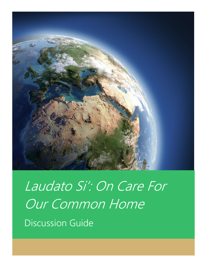

Laudato Si': On Care For Our Common Home Discussion Guide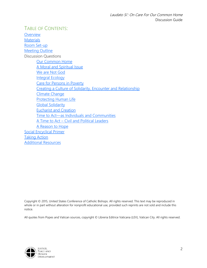### TABLE OF CONTENTS:

**[Overview](#page-2-0) [Materials](#page-2-1)** [Room Set-up](#page-2-2) [Meeting Outline](#page-2-3) Discussion Questions [Our Common Home](#page-6-0) [A Moral and Spiritual Issue](#page-6-1) [We are Not God](#page-7-0) [Integral Ecology](#page-7-1) [Care for Persons in Poverty](#page-8-0) [Creating a Culture of Solidarity, Encounter and Relationship](#page-8-1) [Climate Change](#page-9-0) [Protecting Human Life](#page-9-1) [Global Solidarity](#page-10-0) [Eucharist and Creation](#page-10-1) Time to Act—[as Individuals and Communities](#page-11-0) A Time to Act – [Civil and Political Leaders](#page-11-1) [A Reason to Hope](#page-12-0) [Social Encyclical Primer](#page-13-0) [Taking Action](#page-15-0) [Additional Resources](#page-15-0)

Copyright © 2015, United States Conference of Catholic Bishops. All rights reserved. This text may be reproduced in whole or in part without alteration for nonprofit educational use, provided such reprints are not sold and include this notice.

All quotes from Popes and Vatican sources, copyright © Libreria Editrice Vaticana (LEV), Vatican City. All rights reserved.

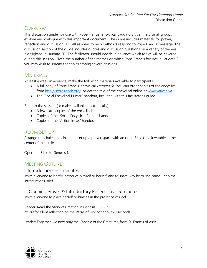### <span id="page-2-0"></span>**OVERVIEW**

This discussion guide, for use with Pope Francis' encyclical Laudato Si', can help small groups explore and dialogue with this important document. The guide includes materials for prayer, reflection and discussion, as well as ideas to help Catholics respond to Pope Francis' message. The discussion section of the guide includes quotes and discussion questions on a variety of themes highlighted in Laudato Si'. The facilitator should decide in advance which topics will be covered during this session. Given the number of rich themes on which Pope Francis focuses in Laudato Si', you may wish to spread the topics among several sessions.

### <span id="page-2-1"></span>**MATERIALS**

At least a week in advance, make the following materials available to participants:

- A full copy of Pope Francis' encyclical *Laudato Si'*. You can order copies of the encyclical from [http://store.usccb.org/,](http://store.usccb.org/) or get the text of the encyclical online at [www.vatican.va.](http://www.vatican.va/)
- The "Social Encyclical Primer" handout, included with this facilitator's guide

Bring to the session (or make available electronically):

- A few extra copies of the encyclical
- Copies of the "Social Encyclical Primer" handout
- Copies of the "Action Ideas" handout

### <span id="page-2-2"></span>ROOM SET-UP

Arrange the chairs in a circle and set up a prayer space with an open Bible on a low table in the center of the circle.

Open the Bible to Genesis 1.

### <span id="page-2-3"></span>MEETING OUTLINE

#### I. Introductions – 5 minutes

Invite everyone to briefly introduce himself or herself, and to share why he or she came. Keep the introductions brief.

# II. Opening Prayer & Introductory Reflections – 5 minutes

Invite everyone to place herself or himself in the presence of God.

Reader: Read the Story of Creation in Genesis 1:1 – 2:3. Pause for silent reflection on the Word of God for about 20 seconds.

Leader: Together, we now pray the Canticle of the Creatures, from St. Francis of Assisi.

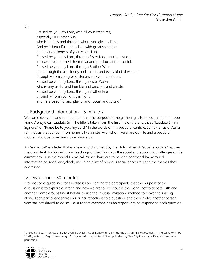All:

Praised be you, my Lord, with all your creatures, especially Sir Brother Sun, who is the day and through whom you give us light. And he is beautiful and radiant with great splendor; and bears a likeness of you, Most High. Praised be you, my Lord, through Sister Moon and the stars, in heaven you formed them clear and precious and beautiful. Praised be you, my Lord, through Brother Wind, and through the air, cloudy and serene, and every kind of weather through whom you give sustenance to your creatures. Praised be you, my Lord, through Sister Water, who is very useful and humble and precious and chaste. Praised be you, my Lord, through Brother Fire, through whom you light the night, and he is beautiful and playful and robust and strong.<sup>1</sup>

#### III. Background Information  $-5$  minutes

Welcome everyone and remind them that the purpose of the gathering is to reflect in faith on Pope Francis' encyclical, Laudato Si'. The title is taken from the first line of the encyclical, "Laudato Si', mi Signore," or "Praise be to you, my Lord." In the words of this beautiful canticle, Saint Francis of Assisi reminds us that our common home is like a sister with whom we share our life and a beautiful mother who opens her arms to embrace us.

An "encyclical" is a letter that is a teaching document by the Holy Father. A "social encyclical" applies the consistent, traditional moral teachings of the Church to the social and economic challenges of the current day. Use the "Social Encyclical Primer" handout to provide additional background information on social encyclicals, including a list of previous social encyclicals and the themes they addressed.

#### IV. Discussion – 30 minutes

Provide some guidelines for the discussion. Remind the participants that the purpose of the discussion is to explore our faith and how we are to live it out in the world, not to debate with one another. Some groups find it helpful to use the "mutual invitation" method to move the sharing along. Each participant shares his or her reflections to a question, and then invites another person who has not shared to do so. Be sure that everyone has an opportunity to respond to each question.

<sup>1</sup> ©1999 Franciscan Institute of St. Bonaventure University, St. Bonaventure, NY. Francis of Assisi : Early Documents – The Saint, Vol 1, pg 113-114, edited by Regis J. Armstrong, J.A. Wayne Hellmann, William J. Short published by New City Press, Hyde Park, NY. Used with permission.



 $\overline{a}$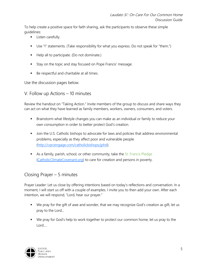To help create a positive space for faith sharing, ask the participants to observe these simple guidelines:

- **Listen carefully.**
- Use "I" statements. (Take responsibility for what you express. Do not speak for "them.")
- Help all to participate. (Do not dominate.)
- Stay on the topic and stay focused on Pope Francis' message.
- Be respectful and charitable at all times.

Use the discussion pages below.

#### V. Follow up Actions – 10 minutes

Review the handout on "Taking Action." Invite members of the group to discuss and share ways they can act on what they have learned as family members, workers, owners, consumers, and voters.

- Brainstorm what lifestyle changes you can make as an individual or family to reduce your own consumption in order to better protect God's creation.
- **Join the U.S. Catholic bishops to advocate for laws and policies that address environmental** problems, especially as they affect poor and vulnerable people [\(http://cqrcengage.com/catholicbishops/jphd\)](http://cqrcengage.com/catholicbishops/jphd).
- As a family, parish, school, or other community, take the St. Francis Pledge [\(CatholicClimateCovenant.org\)](http://www.catholicclimatecovenant.org/) to care for creation and persons in poverty.

### Closing Prayer – 5 minutes

Prayer Leader: Let us close by offering intentions based on today's reflections and conversation. In a moment, I will start us off with a couple of examples. I invite you to then add your own. After each intention, we will respond, "Lord, hear our prayer."

- We pray for the gift of awe and wonder, that we may recognize God's creation as gift, let us pray to the Lord...
- We pray for God's help to work together to protect our common home, let us pray to the Lord….

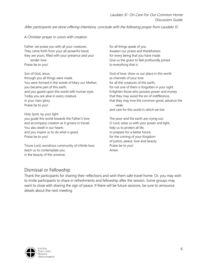After participants are done offering intentions, conclude with the following prayer from Laudato Si'.

A Christian prayer in union with creation

Father, we praise you with all your creatures. They came forth from your all-powerful hand; they are yours, filled with your presence and your tender love. Praise be to you!

Son of God, Jesus, through you all things were made. You were formed in the womb of Mary our Mother, you became part of this earth, and you gazed upon this world with human eyes. Today you are alive in every creature in your risen glory. Praise be to you!

Holy Spirit, by your light you guide this world towards the Father's love and accompany creation as it groans in travail. You also dwell in our hearts and you inspire us to do what is good. Praise be to you!

Triune Lord, wondrous community of infinite love, teach us to contemplate you in the beauty of the universe,

for all things speak of you. Awaken our praise and thankfulness for every being that you have made. Give us the grace to feel profoundly joined to everything that is.

God of love, show us our place in this world as channels of your love for all the creatures of this earth, for not one of them is forgotten in your sight. Enlighten those who possess power and money that they may avoid the sin of indifference, that they may love the common good, advance the weak, and care for this world in which we live.

The poor and the earth are crying out. O Lord, seize us with your power and light, help us to protect all life, to prepare for a better future, for the coming of your Kingdom of justice, peace, love and beauty. Praise be to you! Amen.

#### Dismissal or Fellowship

Thank the participants for sharing their reflections and wish them safe travel home. Or, you may wish to invite participants to share in refreshments and fellowship after the session. Some groups may want to close with sharing the sign of peace. If there will be future sessions, be sure to announce details about the next meeting.

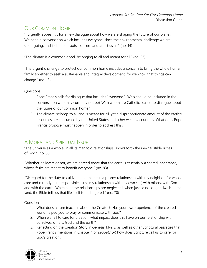### <span id="page-6-0"></span>OUR COMMON HOME

"I urgently appeal . . . for a new dialogue about how we are shaping the future of our planet. We need a conversation which includes everyone, since the environmental challenge we are undergoing, and its human roots, concern and affect us all." (no. 14)

"The climate is a common good, belonging to all and meant for all." (no. 23)

"The urgent challenge to protect our common home includes a concern to bring the whole human family together to seek a sustainable and integral development, for we know that things can change." (no. 13)

**Questions** 

- 1. Pope Francis calls for dialogue that includes "everyone." Who should be included in the conversation who may currently not be? With whom are Catholics called to dialogue about the future of our common home?
- 2. The climate belongs to all and is meant for all, yet a disproportionate amount of the earth's resources are consumed by the United States and other wealthy countries. What does Pope Francis propose must happen in order to address this?

### <span id="page-6-1"></span>A MORAL AND SPIRITUAL ISSUE

"The universe as a whole, in all its manifold relationships, shows forth the inexhaustible riches of God." (no. 86)

"Whether believers or not, we are agreed today that the earth is essentially a shared inheritance, whose fruits are meant to benefit everyone." (no. 93)

"Disregard for the duty to cultivate and maintain a proper relationship with my neighbor, for whose care and custody I am responsible, ruins my relationship with my own self, with others, with God and with the earth. When all these relationships are neglected, when justice no longer dwells in the land, the Bible tells us that life itself is endangered." (no. 70)

**Questions** 

- 1. What does nature teach us about the Creator? Has your own experience of the created world helped you to pray or communicate with God?
- 2. When we fail to care for creation, what impact does this have on our relationship with ourselves, others, God and the earth?
- 3. Reflecting on the Creation Story in Genesis 1:1-2:3, as well as other Scriptural passages that Pope Francis mentions in Chapter 1 of *Laudato Si'*, how does Scripture call us to care for God's creation?

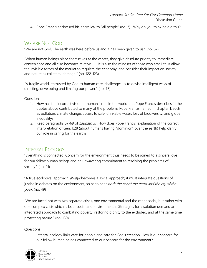4. Pope Francis addressed his encyclical to "all people" (no. 3). Why do you think he did this?

### <span id="page-7-0"></span>WE ARE NOT GOD

"We are not God. The earth was here before us and it has been given to us." (no. 67)

"When human beings place themselves at the center, they give absolute priority to immediate convenience and all else becomes relative. . . . It is also the mindset of those who say: Let us allow the invisible forces of the market to regulate the economy, and consider their impact on society and nature as collateral damage." (no. 122-123)

"A fragile world, entrusted by God to human care, challenges us to devise intelligent ways of directing, developing and limiting our power." (no. 78)

Questions

- 1. How has the incorrect vision of humans' role in the world that Pope Francis describes in the quotes above contributed to many of the problems Pope Francis named in chapter 1, such as pollution, climate change, access to safe, drinkable water, loss of biodiversity, and global inequality?
- 2. Read paragraphs 67-69 of *Laudato Si'*. How does Pope Francis' explanation of the correct interpretation of Gen. 1:28 (about humans having "dominion" over the earth) help clarify our role in caring for the earth?

### <span id="page-7-1"></span>INTEGRAL ECOLOGY

"Everything is connected. Concern for the environment thus needs to be joined to a sincere love for our fellow human beings and an unwavering commitment to resolving the problems of society." (no. 91)

"A true ecological approach *always* becomes a social approach; it must integrate questions of justice in debates on the environment, so as to hear both the cry of the earth and the cry of the poor. (no. 49)

"We are faced not with two separate crises, one environmental and the other social, but rather with one complex crisis which is both social and environmental. Strategies for a solution demand an integrated approach to combating poverty, restoring dignity to the excluded, and at the same time protecting nature." (no. 139)

**Questions** 

1. Integral ecology links care for people and care for God's creation. How is our concern for our fellow human beings connected to our concern for the environment?

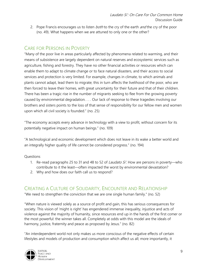2. Pope Francis encourages us to listen *both* to the cry of the earth *and* the cry of the poor (no. 49). What happens when we are attuned to only one or the other?

### <span id="page-8-0"></span>CARE FOR PERSONS IN POVERTY

"Many of the poor live in areas particularly affected by phenomena related to warming, and their means of subsistence are largely dependent on natural reserves and ecosystemic services such as agriculture, fishing and forestry. They have no other financial activities or resources which can enable them to adapt to climate change or to face natural disasters, and their access to social services and protection is very limited. For example, changes in climate, to which animals and plants cannot adapt, lead them to migrate; this in turn affects the livelihood of the poor, who are then forced to leave their homes, with great uncertainty for their future and that of their children. There has been a tragic rise in the number of migrants seeking to flee from the growing poverty caused by environmental degradation. . . . Our lack of response to these tragedies involving our brothers and sisters points to the loss of that sense of responsibility for our fellow men and women upon which all civil society is founded." (no. 25)

"The economy accepts every advance in technology with a view to profit, without concern for its potentially negative impact on human beings." (no. 109)

"A technological and economic development which does not leave in its wake a better world and an integrally higher quality of life cannot be considered progress." (no. 194)

**Questions** 

- 1. Re-read paragraphs 25 to 31 and 48 to 52 of *Laudato Si'*. How are persons in poverty—who contribute to it the least—often impacted the worst by environmental devastation?
- 2. Why and how does our faith call us to respond?

### <span id="page-8-1"></span>CREATING A CULTURE OF SOLIDARITY, ENCOUNTER AND RELATIONSHIP

"We need to strengthen the conviction that we are one single human family." (no. 52)

"When nature is viewed solely as a source of profit and gain, this has serious consequences for society. This vision of 'might is right' has engendered immense inequality, injustice and acts of violence against the majority of humanity, since resources end up in the hands of the first comer or the most powerful: the winner takes all. Completely at odds with this model are the ideals of harmony, justice, fraternity and peace as proposed by Jesus." (no. 82)

"An interdependent world not only makes us more conscious of the negative effects of certain lifestyles and models of production and consumption which affect us all; more importantly, it

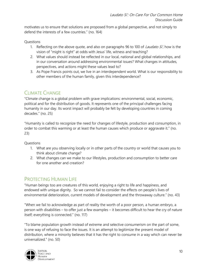motivates us to ensure that solutions are proposed from a global perspective, and not simply to defend the interests of a few countries." (no. 164)

**Questions** 

- 1. Reflecting on the above quote, and also on paragraphs 96 to 100 of *Laudato Si'*, how is the vision of "might is right" at odds with Jesus' life, witness and teaching?
- 2. What values should instead be reflected in our local, national and global relationships, and in our conversation around addressing environmental issues? What changes in attitudes, perspectives, and actions might these values lead to?
- 3. As Pope Francis points out, we live in an interdependent world. What is our responsibility to other members of the human family, given this interdependence?

# <span id="page-9-0"></span>CLIMATE CHANGE

"Climate change is a global problem with grave implications: environmental, social, economic, political and for the distribution of goods. It represents one of the principal challenges facing humanity in our day. Its worst impact will probably be felt by developing countries in coming decades." (no. 25)

"Humanity is called to recognize the need for changes of lifestyle, production and consumption, in order to combat this warming or at least the human causes which produce or aggravate it." (no. 23)

**Ouestions** 

- 1. What are you observing locally or in other parts of the country or world that causes you to think about climate change?
- 2. What changes can we make to our lifestyles, production and consumption to better care for one another and creation?

## <span id="page-9-1"></span>PROTECTING HUMAN LIFE

"Human beings too are creatures of this world, enjoying a right to life and happiness, and endowed with unique dignity. So we cannot fail to consider the effects on people's lives of environmental deterioration, current models of development and the throwaway culture." (no. 43)

"When we fail to acknowledge as part of reality the worth of a poor person, a human embryo, a person with disabilities – to offer just a few examples – it becomes difficult to hear the cry of nature itself; everything is connected." (no. 117)

"To blame population growth instead of extreme and selective consumerism on the part of some, is one way of refusing to face the issues. It is an attempt to legitimize the present model of distribution, where a minority believes that it has the right to consume in a way which can never be universalized." (no. 50)

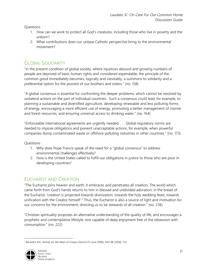**Questions** 

- 1. How can we work to protect all God's creatures, including those who live in poverty and the unborn?
- 2. What contributions does our unique Catholic perspective bring to the environmental movement?

## <span id="page-10-0"></span>GLOBAL SOLIDARITY

"In the present condition of global society, where injustices abound and growing numbers of people are deprived of basic human rights and considered expendable, the principle of the common good immediately becomes, logically and inevitably, a summons to solidarity and a preferential option for the poorest of our brothers and sisters." (no. 158)

"A global consensus is essential for confronting the deeper problems, which cannot be resolved by unilateral actions on the part of individual countries. Such a consensus could lead, for example, to planning a sustainable and diversified agriculture, developing renewable and less polluting forms of energy, encouraging a more efficient use of energy, promoting a better management of marine and forest resources, and ensuring universal access to drinking water." (no. 164)

"Enforceable international agreements are urgently needed. . . . Global regulatory norms are needed to impose obligations and prevent unacceptable actions, for example, when powerful companies dump contaminated waste or offshore polluting industries in other countries." (no. 173)

**Ouestions** 

- 1. Why does Pope Francis speak of the need for a "global consensus" to address environmental challenges effectively?
- 2. How is the United States called to fulfill our obligations in justice to those who are poor in developing countries?

### <span id="page-10-1"></span>EUCHARIST AND CREATION

"The Eucharist joins heaven and earth; it embraces and penetrates all creation. The world which came forth from God's hands returns to him in blessed and undivided adoration: in the bread of the Eucharist, 'creation is projected towards divinization, towards the holy wedding feast, towards unification with the Creator himself'.<sup>2</sup> Thus, the Eucharist is also a source of light and motivation for our concerns for the environment, directing us to be stewards of all creation." (no. 236)

"Christian spirituality proposes an alternative understanding of the quality of life, and encourages a prophetic and contemplative lifestyle, one capable of deep enjoyment free of the obsession with consumption." (no. 222)

 $\overline{a}$ <sup>2</sup> Benedict XVI, Homily for the Mass of Corpus Domini (15 June 2006): AAS 98 (2006), 513.

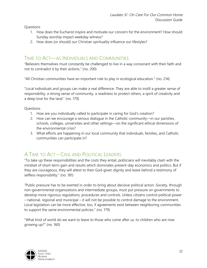**Questions** 

- 1. How does the Eucharist inspire and motivate our concern for the environment? How should Sunday worship impact weekday witness?
- 2. How does (or should) our Christian spirituality influence our lifestyles?

### <span id="page-11-0"></span>TIME TO ACT—AS INDIVIDUALS AND COMMUNITIES

"Believers themselves must constantly be challenged to live in a way consonant with their faith and not to contradict it by their actions." (no. 200)

"All Christian communities have an important role to play in ecological education." (no. 214)

"Local individuals and groups can make a real difference. They are able to instill a greater sense of responsibility, a strong sense of community, a readiness to protect others, a spirit of creativity and a deep love for the land." (no. 179)

**Questions** 

- 1. How are you individually called to participate in caring for God's creation?
- 2. How can we encourage a serious dialogue in the Catholic community—in our parishes, schools, colleges, universities and other settings—on the significant ethical dimensions of the environmental crisis?
- 3. What efforts are happening in our local community that individuals, families, and Catholic communities can participate in?

# <span id="page-11-1"></span>A TIME TO ACT – CIVIL AND POLITICAL LEADERS

"To take up these responsibilities and the costs they entail, politicians will inevitably clash with the mindset of short-term gain and results which dominates present-day economics and politics. But if they are courageous, they will attest to their God-given dignity and leave behind a testimony of selfless responsibility." (no. 181)

"Public pressure has to be exerted in order to bring about decisive political action. Society, through non-governmental organizations and intermediate groups, must put pressure on governments to develop more rigorous regulations, procedures and controls. Unless citizens control political power – national, regional and municipal – it will not be possible to control damage to the environment. Local legislation can be more effective, too, if agreements exist between neighboring communities to support the same environmental policies." (no. 179)

"What kind of world do we want to leave to those who come after us, to children who are now growing up?" (no. 160)

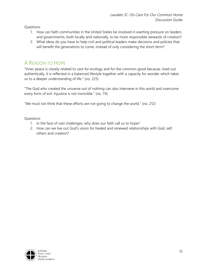**Questions** 

- 1. How can faith communities in the United States be involved in exerting pressure on leaders and governments, both locally and nationally, to be more responsible stewards of creation?
- 2. What ideas do you have to help civil and political leaders make decisions and policies that will benefit the generations to come, instead of only considering the short-term?

### <span id="page-12-0"></span>A REASON TO HOPE

"Inner peace is closely related to care for ecology and for the common good because, lived out authentically, it is reflected in a balanced lifestyle together with a capacity for wonder which takes us to a deeper understanding of life." (no. 225)

"The God who created the universe out of nothing can also intervene in this world and overcome every form of evil. Injustice is not invincible." (no. 74)

"We must not think that these efforts are not going to change the world." (no. 212)

**Questions** 

- 1. In the face of vast challenges, why does our faith call us to hope?
- 2. How can we live out God's vision for healed and renewed relationships with God, self, others and creation?

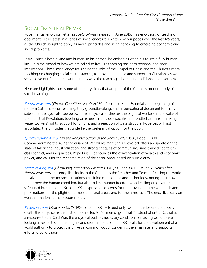### <span id="page-13-0"></span>SOCIAL ENCYCLICAL PRIMER

Pope Francis' encyclical letter *Laudato Si'* was released in June 2015. This encyclical, or teaching document, is the latest in a series of social encyclicals written by our popes over the last 125 years, as the Church sought to apply its moral principles and social teaching to emerging economic and social problems.

Jesus Christ is both divine and human. In his person, he embodies what it is to live a fully human life. He is the model of how we are called to live. His teaching has both personal and social implications. These social encyclicals shine the light of the Gospel of Christ and the Church's moral teaching on changing social circumstances, to provide guidance and support to Christians as we seek to live our faith in the world. In this way, the teaching is both very traditional and ever new.

Here are highlights from some of the encyclicals that are part of the Church's modern body of social teaching:

[Rerum Novarum](http://www.vatican.va/holy_father/leo_xiii/encyclicals/documents/hf_l-xiii_enc_15051891_rerum-novarum_en.html) (On the Condition of Labor) 1891, Pope Leo XIII – Essentially the beginning of modern Catholic social teaching, truly groundbreaking, and a foundational document for many subsequent encyclicals (see below). This encyclical addresses the plight of workers in the wake of the Industrial Revolution, touching on issues that include socialism, unbridled capitalism, a living wage, workers' rights, support for unions, and a rejection of class struggle. Pope Leo XIII first articulated the principles that underlie the preferential option for the poor.

[Quadragesimo Anno](http://www.vatican.va/holy_father/pius_xi/encyclicals/documents/hf_p-xi_enc_19310515_quadragesimo-anno_en.html) (On the Reconstruction of the Social Order) 1931, Pope Pius XI – Commemorating the 40<sup>th</sup> anniversary of *Rerum Novarum*, this encyclical offers an update on the state of labor and industrialization, and strong critiques of communism, unrestrained capitalism, class conflict, and inequalities. Pope Pius XI denounces the concentration of wealth and economic power, and calls for the reconstruction of the social order based on subsidiarity.

[Mater et Magistra](http://www.vatican.va/holy_father/john_xxiii/encyclicals/documents/hf_j-xxiii_enc_15051961_mater_en.html) (Christianity and Social Progress) 1961, St. John XXIII – Issued 70 years after Rerum Novarum, this encyclical looks to the Church as the "Mother and Teacher," calling the world to salvation and better social relationships. It looks at science and technology, noting their power to improve the human condition, but also to limit human freedoms, and calling on governments to safeguard human rights. St. John XXIII expressed concerns for the growing gap between rich and poor nations, for the plight of farmers and rural areas, and for the arms race. The encyclical calls on wealthier nations to help poorer ones.

[Pacem in Terris](http://www.vatican.va/holy_father/john_xxiii/encyclicals/documents/hf_j-xxiii_enc_11041963_pacem_en.html) (Peace on Earth) 1963, St. John XXIII – Issued only two months before the pope's death, this encyclical is the first to be directed to "all men of good will," instead of just to Catholics. In a response to the Cold War, the encyclical outlines necessary conditions for lasting world peace, looking at respect for human rights and disarmament. St. John XXIII calls for the development of a world authority to protect the universal common good, condemns the arms race, and supports efforts to build peace.

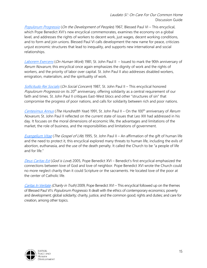[Populorum Progressio](http://www.vatican.va/holy_father/paul_vi/encyclicals/documents/hf_p-vi_enc_26031967_populorum_en.html) (On the Development of Peoples) 1967, Blessed Paul VI – This encyclical, which Pope Benedict XVI's new encyclical commemorates, examines the economy on a global level, and addresses the rights of workers to decent work, just wages, decent working conditions, and to form and join unions. Blessed Paul VI calls development the new name for peace, criticizes unjust economic structures that lead to inequality, and supports new international and social relationships.

[Laborem Exercens](http://www.vatican.va/edocs/ENG0217/_INDEX.HTM) (On Human Work) 1981, St. John Paul II – Issued to mark the 90th anniversary of Rerum Novarum, this encyclical once again emphasizes the dignity of work and the rights of workers, and the priority of labor over capital. St. John Paul II also addresses disabled workers, emigration, materialism, and the spirituality of work.

[Sollicitudo Rei Socialis](http://www.vatican.va/edocs/ENG0223/_INDEX.HTM) (On Social Concern) 1987, St. John Paul II – This encyclical honored Populorum Progressio on its 20<sup>th</sup> anniversary, offering solidarity as a central requirement of our faith and times. St. John Paul II critiques East-West blocs and other "structures of sin" that compromise the progress of poor nations, and calls for solidarity between rich and poor nations.

[Centesimus Annus](http://www.vatican.va/edocs/ENG0214/_INDEX.HTM) (The Hundredth Year) 1991, St. John Paul II – On the 100<sup>th</sup> anniversary of Rerum Novarum, St. John Paul II reflected on the current state of issues that Leo XIII had addressed in his day. It focuses on the moral dimensions of economic life, the advantages and limitations of the market, the role of business, and the responsibilities and limitations of government.

[Evangelium Vitae](http://www.vatican.va/edocs/ENG0141/_INDEX.HTM) (The Gospel of Life) 1995, St. John Paul II – An affirmation of the gift of human life and the need to protect it, this encyclical explored many threats to human life, including the evils of abortion, euthanasia, and the use of the death penalty. It called the Church to be "a people of life and for life."

[Deus Caritas Est](http://www.vatican.va/holy_father/benedict_xvi/encyclicals/documents/hf_ben-xvi_enc_20051225_deus-caritas-est_en.html) (God is Love) 2005, Pope Benedict XVI – Benedict's first encyclical emphasized the connections between love of God and love of neighbor. Pope Benedict XVI wrote the Church could no more neglect charity than it could Scripture or the sacraments. He located love of the poor at the center of Catholic life.

[Caritas In Veritate](http://www.vatican.va/holy_father/benedict_xvi/encyclicals/documents/hf_ben-xvi_enc_20090629_caritas-in-veritate_en.html) (Charity in Truth) 2009, Pope Benedict XVI – This encyclical followed up on the themes of Blessed Paul VI's Populorum Progressio. It dealt with the ethics of contemporary economics; poverty and development; global solidarity; charity, justice, and the common good; rights and duties; and care for creation, among other topics.

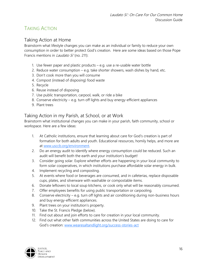# <span id="page-15-0"></span>TAKING ACTION

#### Taking Action at Home

Brainstorm what lifestyle changes you can make as an individual or family to reduce your own consumption in order to better protect God's creation. Here are some ideas based on those Pope Francis mentions in *Laudato Si'* (no. 211):

- 1. Use fewer paper and plastic products e.g. use a re-usable water bottle
- 2. Reduce water consumption e.g. take shorter showers, wash dishes by hand, etc.
- 3. Don't cook more than you will consume
- 4. Compost (instead of disposing) food waste
- 5. Recycle
- 6. Reuse instead of disposing
- 7. Use public transportation, carpool, walk, or ride a bike
- 8. Conserve electricity e.g. turn off lights and buy energy-efficient appliances
- 9. Plant trees

#### Taking Action in my Parish, at School, or at Work

Brainstorm what institutional changes you can make in your parish, faith community, school or workspace. Here are a few ideas:

- 1. At Catholic institutions, ensure that learning about care for God's creation is part of formation for both adults and youth. Educational resources, homily helps, and more are at [www.usccb.org/environment.](http://www.usccb.org/environment)
- 2. Do an energy audit to identify where energy consumption could be reduced. Such an audit will benefit both the earth and your institution's budget!
- 3. Consider going solar. Explore whether efforts are happening in your local community to form solar cooperatives, in which institutions purchase affordable solar energy in bulk.
- 4. Implement recycling and composting.
- 5. At events where food or beverages are consumed, and in cafeterias, replace disposable cups, plates, and silverware with washable or compostable items.
- 6. Donate leftovers to local soup kitchens, or cook only what will be reasonably consumed.
- 7. Offer employees benefits for using public transportation or carpooling.
- 8. Conserve electricity e.g. turn off lights and air conditioning during non-business hours and buy energy-efficient appliances.
- 9. Plant trees on your institution's property.
- 10. Take the St. Francis Pledge (below).
- 11. Find out about and join efforts to care for creation in your local community.
- 12. Find out what other faith communities across the United States are doing to care for God's creation: [www.wearesaltandlight.org/success-stories-act](http://www.wearesaltandlight.org/success-stories-act)

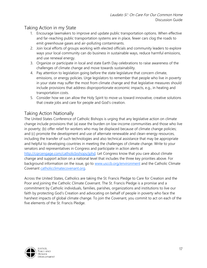### Taking Action in my State

- 1. Encourage lawmakers to improve and update public transportation options. When effective and far-reaching public transportation systems are in place, fewer cars clog the roads to emit greenhouse gases and air-polluting contaminants.
- 2. Join local efforts of groups working with elected officials and community leaders to explore ways your local community can do business in sustainable ways, reduce harmful emissions, and use renewal energy.
- 3. Organize or participate in local and state Earth Day celebrations to raise awareness of the challenges of climate change and move towards sustainability.
- 4. Pay attention to legislation going before the state legislature that concern climate, emissions, or energy policies. Urge legislators to remember that people who live in poverty in your state may suffer the most from climate change and that legislative measures should include provisions that address disproportionate economic impacts, e.g., in heating and transportation costs.
- 5. Consider how we can allow the Holy Spirit to move us toward innovative, creative solutions that create jobs and care for people and God's creation.

### Taking Action Nationally

The United States Conference of Catholic Bishops is urging that any legislative action on climate change include provisions that (a) ease the burden on low-income communities and those who live in poverty; (b) offer relief for workers who may be displaced because of climate change policies; and (c) promote the development and use of alternate renewable and clean-energy resources, including the transfer of such technologies and also technical assistance that may be appropriate and helpful to developing countries in meeting the challenges of climate change. Write to your senators and representatives in Congress and participate in action alerts at [http://cqrcengage.com/catholicbishops/jphd.](http://cqrcengage.com/catholicbishops/jphd) Let Congress know that you care about climate change and support action on a national level that includes the three key priorities above. For background information on the issue, go to [www.usccb.org/environment](http://www.usccb.org/environment) and the Catholic Climate Covenant [catholicclimatecovenant.org.](http://catholicclimatecovenant.org/)

Across the United States, Catholics are taking the St. Francis Pledge to Care for Creation and the Poor and joining the Catholic Climate Covenant. The St. Francis Pledge is a promise and a commitment by Catholic individuals, families, parishes, organizations and institutions to live our faith by protecting God's Creation and advocating on behalf of people in poverty who face the harshest impacts of global climate change. To join the Covenant, you commit to act on each of the five elements of the St. Francis Pledge.

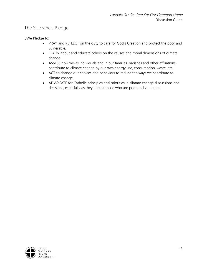#### The St. Francis Pledge

I/We Pledge to:

- PRAY and REFLECT on the duty to care for God's Creation and protect the poor and vulnerable.
- LEARN about and educate others on the causes and moral dimensions of climate change.
- ASSESS how we-as individuals and in our families, parishes and other affiliationscontribute to climate change by our own energy use, consumption, waste, etc.
- ACT to change our choices and behaviors to reduce the ways we contribute to climate change.
- ADVOCATE for Catholic principles and priorities in climate change discussions and decisions, especially as they impact those who are poor and vulnerable

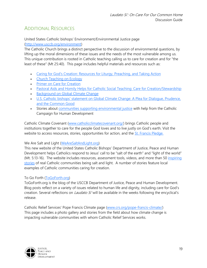### ADDITIONAL RESOURCES

United States Catholic bishops' Environment/Environmental Justice page [\(http://www.usccb.org/environment\)](http://www.usccb.org/environment)

The Catholic Church brings a distinct perspective to the discussion of environmental questions, by lifting up the moral dimensions of these issues and the needs of the most vulnerable among us. This unique contribution is rooted in Catholic teaching calling us to care for creation and for "the least of these" (Mt 25:40). This page includes helpful materials and resources such as:

- [Caring for God's Creation: Resources for Liturgy, Preaching, and Taking Action](http://www.usccb.org/issues-and-action/human-life-and-dignity/environment/upload/ecology-resource-all.pdf)
- [Church Teaching on Ecology](http://www.usccb.org/issues-and-action/human-life-and-dignity/environment/upload/chuch-teaching-ecology.pdf)
- [Primer on Care for Creation](http://www.usccb.org/issues-and-action/human-life-and-dignity/environment/environmental-justice-program/upload/Environmental-Primer.pdf)
- [Pastoral Aids and Homily Helps for Catholic Social Teaching: Care for Creation/Stewardship](http://www.usccb.org/issues-and-action/human-life-and-dignity/environment/environmental-justice-program/upload/Creation-Stewardship.pdf)
- [Background on Global Climate Change](http://www.usccb.org/issues-and-action/human-life-and-dignity/environment/environmental-justice-program/upload/Global-Climate-Change-Backgrounder-2015-02.pdf)
- U.S. Catholic bishops' statement on [Global Climate Change: A Plea for Dialogue, Prudence,](http://www.usccb.org/issues-and-action/human-life-and-dignity/environment/global-climate-change-a-plea-for-dialogue-prudence-and-the-common-good.cfm)  [and the Common Good](http://www.usccb.org/issues-and-action/human-life-and-dignity/environment/global-climate-change-a-plea-for-dialogue-prudence-and-the-common-good.cfm)
- Stories about [communities supporting environmental justice](http://www.usccb.org/issues-and-action/human-life-and-dignity/environment/environmental-justice-program/upload/Environmental-Justice-CCHD-Map-2013-2015.pdf) with help from the Catholic Campaign for Human Development

Catholic Climate Covenant [\(www.catholicclimatecovenant.org/\)](http://www.catholicclimatecovenant.org/) brings Catholic people and institutions together to care for the people God loves and to live justly on God's earth. Visit the website to access resources, stories, opportunities for action, and the [St. Francis Pledge.](http://www.catholicclimatecovenant.org/pledge)

#### We Are Salt and Light [\(WeAreSaltAndLight.org\)](http://www.wearesaltandlight.org/)

This new website of the United States Catholic Bishops' Department of Justice, Peace and Human Development helps Catholics respond to Jesus' call to be "salt of the earth" and "light of the world" (Mt. 5:13-16). The website includes resources, assessment tools, videos, and more than 50 [inspiring](http://www.wearesaltandlight.org/success-stories-pray)  [stories](http://www.wearesaltandlight.org/success-stories-pray) of real Catholic communities being salt and light. A number of stories feature local examples of Catholic communities caring for creation.

#### To Go Forth [\(ToGoForth.org\)](http://www.togoforth.org/)

ToGoForth.org is the blog of the USCCB Department of Justice, Peace and Human Development. Blog posts reflect on a variety of issues related to human life and dignity, including care for God's creation. Several reflections on *Laudato Si'* will be available in the weeks following the encyclical's release.

Catholic Relief Services' Pope Francis Climate page [\(www.crs.org/pope-francis-climate/\)](http://www.crs.org/pope-francis-climate/) This page includes a photo gallery and stories from the field about how climate change is impacting vulnerable communities with whom Catholic Relief Services works.